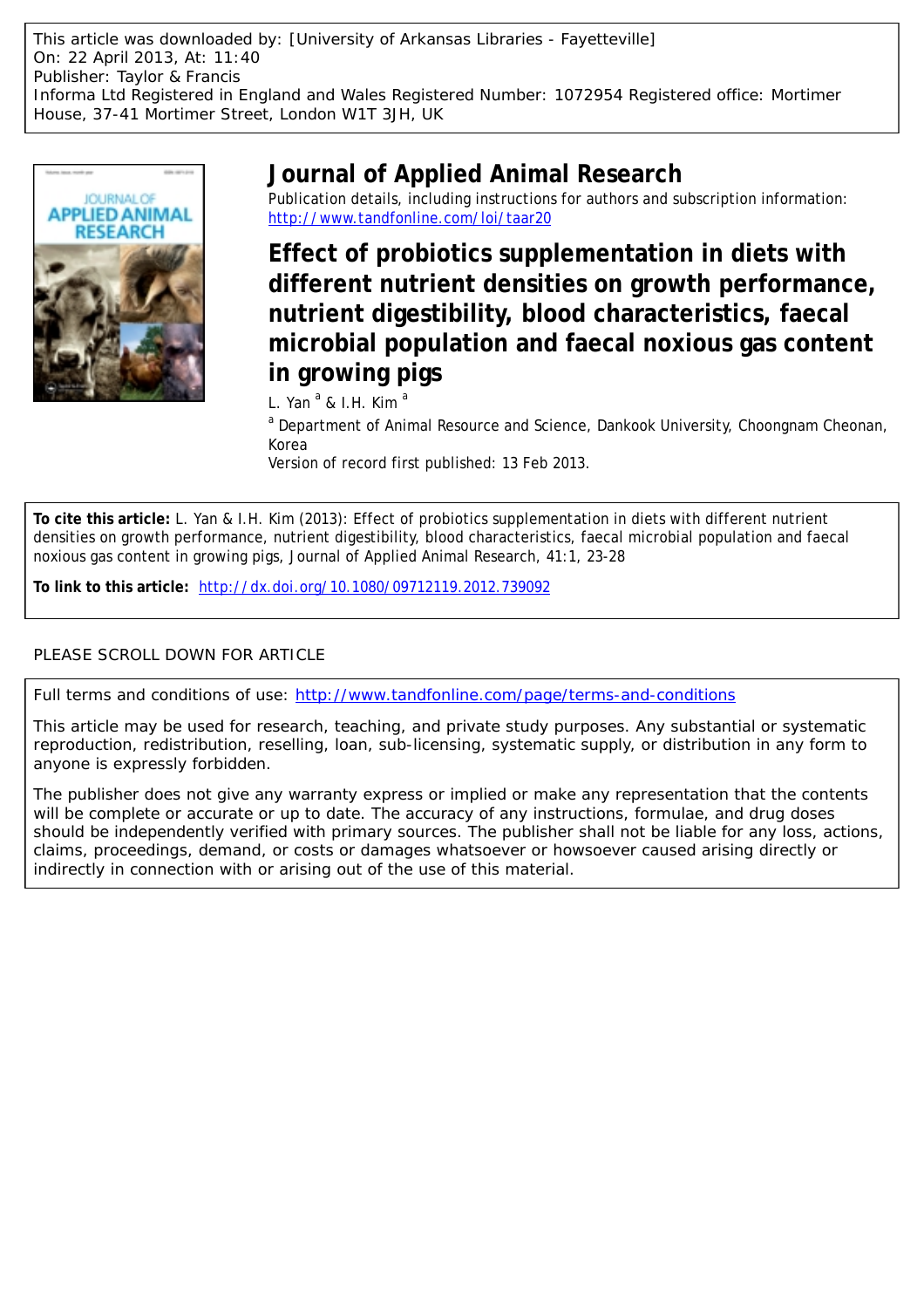This article was downloaded by: [University of Arkansas Libraries - Fayetteville] On: 22 April 2013, At: 11:40 Publisher: Taylor & Francis Informa Ltd Registered in England and Wales Registered Number: 1072954 Registered office: Mortimer House, 37-41 Mortimer Street, London W1T 3JH, UK



# **Journal of Applied Animal Research**

Publication details, including instructions for authors and subscription information: <http://www.tandfonline.com/loi/taar20>

**Effect of probiotics supplementation in diets with different nutrient densities on growth performance, nutrient digestibility, blood characteristics, faecal microbial population and faecal noxious gas content in growing pigs**

L. Yan<sup>a</sup> & I.H. Kim<sup>a</sup>

<sup>a</sup> Department of Animal Resource and Science, Dankook University, Choongnam Cheonan, Korea

Version of record first published: 13 Feb 2013.

**To cite this article:** L. Yan & I.H. Kim (2013): Effect of probiotics supplementation in diets with different nutrient densities on growth performance, nutrient digestibility, blood characteristics, faecal microbial population and faecal noxious gas content in growing pigs, Journal of Applied Animal Research, 41:1, 23-28

**To link to this article:** <http://dx.doi.org/10.1080/09712119.2012.739092>

## PLEASE SCROLL DOWN FOR ARTICLE

Full terms and conditions of use:<http://www.tandfonline.com/page/terms-and-conditions>

This article may be used for research, teaching, and private study purposes. Any substantial or systematic reproduction, redistribution, reselling, loan, sub-licensing, systematic supply, or distribution in any form to anyone is expressly forbidden.

The publisher does not give any warranty express or implied or make any representation that the contents will be complete or accurate or up to date. The accuracy of any instructions, formulae, and drug doses should be independently verified with primary sources. The publisher shall not be liable for any loss, actions, claims, proceedings, demand, or costs or damages whatsoever or howsoever caused arising directly or indirectly in connection with or arising out of the use of this material.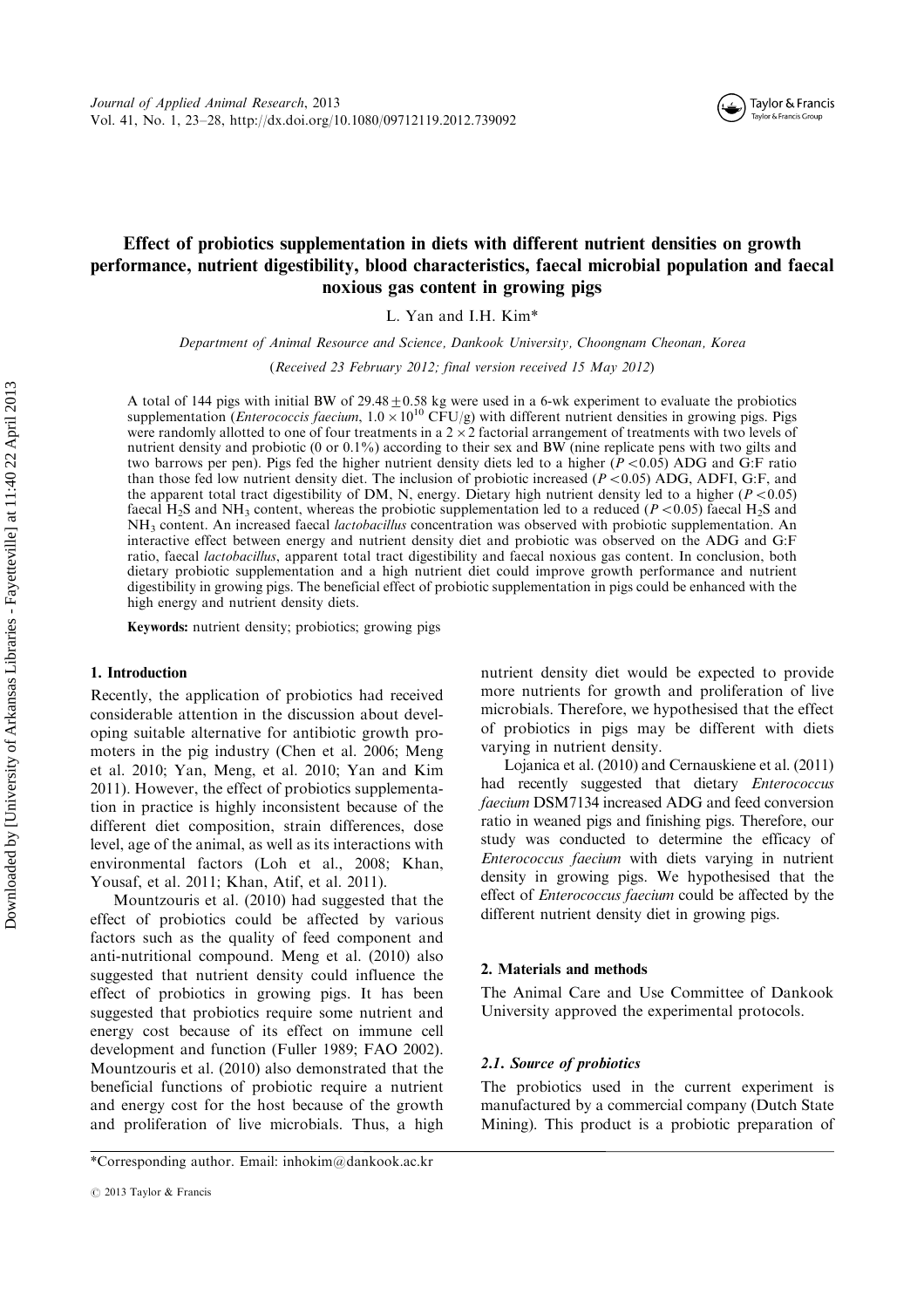#### Taylor & Francis (┶ Taylor & Francis Group

### Effect of probiotics supplementation in diets with different nutrient densities on growth performance, nutrient digestibility, blood characteristics, faecal microbial population and faecal noxious gas content in growing pigs

L. Yan and I.H. Kim\*

Department of Animal Resource and Science, Dankook University, Choongnam Cheonan, Korea

(Received 23 February 2012; final version received 15 May 2012)

A total of 144 pigs with initial BW of 29.48  $\pm$  0.58 kg were used in a 6-wk experiment to evaluate the probiotics supplementation (*Enterococcis faecium*, 1.0 × 10<sup>10</sup> CFU/g) with different nutrient densities in growing were randomly allotted to one of four treatments in a  $2 \times 2$  factorial arrangement of treatments with two levels of nutrient density and probiotic (0 or 0.1%) according to their sex and BW (nine replicate pens with two gilts and two barrows per pen). Pigs fed the higher nutrient density diets led to a higher ( $P < 0.05$ ) ADG and G:F ratio than those fed low nutrient density diet. The inclusion of probiotic increased ( $P < 0.05$ ) ADG, ADFI, G:F, and the apparent total tract digestibility of DM, N, energy. Dietary high nutrient density led to a higher ( $P < 0.05$ ) faecal H<sub>2</sub>S and NH<sub>3</sub> content, whereas the probiotic supplementation led to a reduced ( $P < 0.05$ ) faecal H<sub>2</sub>S and NH3 content. An increased faecal lactobacillus concentration was observed with probiotic supplementation. An interactive effect between energy and nutrient density diet and probiotic was observed on the ADG and G:F ratio, faecal lactobacillus, apparent total tract digestibility and faecal noxious gas content. In conclusion, both dietary probiotic supplementation and a high nutrient diet could improve growth performance and nutrient digestibility in growing pigs. The beneficial effect of probiotic supplementation in pigs could be enhanced with the high energy and nutrient density diets.

Keywords: nutrient density; probiotics; growing pigs

#### 1. Introduction

Recently, the application of probiotics had received considerable attention in the discussion about developing suitable alternative for antibiotic growth promoters in the pig industry (Chen et al. 2006; Meng et al. 2010; Yan, Meng, et al. 2010; Yan and Kim 2011). However, the effect of probiotics supplementation in practice is highly inconsistent because of the different diet composition, strain differences, dose level, age of the animal, as well as its interactions with environmental factors (Loh et al., 2008; Khan, Yousaf, et al. 2011; Khan, Atif, et al. 2011).

Mountzouris et al. (2010) had suggested that the effect of probiotics could be affected by various factors such as the quality of feed component and anti-nutritional compound. Meng et al. (2010) also suggested that nutrient density could influence the effect of probiotics in growing pigs. It has been suggested that probiotics require some nutrient and energy cost because of its effect on immune cell development and function (Fuller 1989; FAO 2002). Mountzouris et al. (2010) also demonstrated that the beneficial functions of probiotic require a nutrient and energy cost for the host because of the growth and proliferation of live microbials. Thus, a high nutrient density diet would be expected to provide more nutrients for growth and proliferation of live microbials. Therefore, we hypothesised that the effect of probiotics in pigs may be different with diets varying in nutrient density.

Lojanica et al. (2010) and Cernauskiene et al. (2011) had recently suggested that dietary Enterococcus faecium DSM7134 increased ADG and feed conversion ratio in weaned pigs and finishing pigs. Therefore, our study was conducted to determine the efficacy of Enterococcus faecium with diets varying in nutrient density in growing pigs. We hypothesised that the effect of Enterococcus faecium could be affected by the different nutrient density diet in growing pigs.

#### 2. Materials and methods

The Animal Care and Use Committee of Dankook University approved the experimental protocols.

#### 2.1. Source of probiotics

The probiotics used in the current experiment is manufactured by a commercial company (Dutch State Mining). This product is a probiotic preparation of

<sup>\*</sup>Corresponding author. Email: inhokim@dankook.ac.kr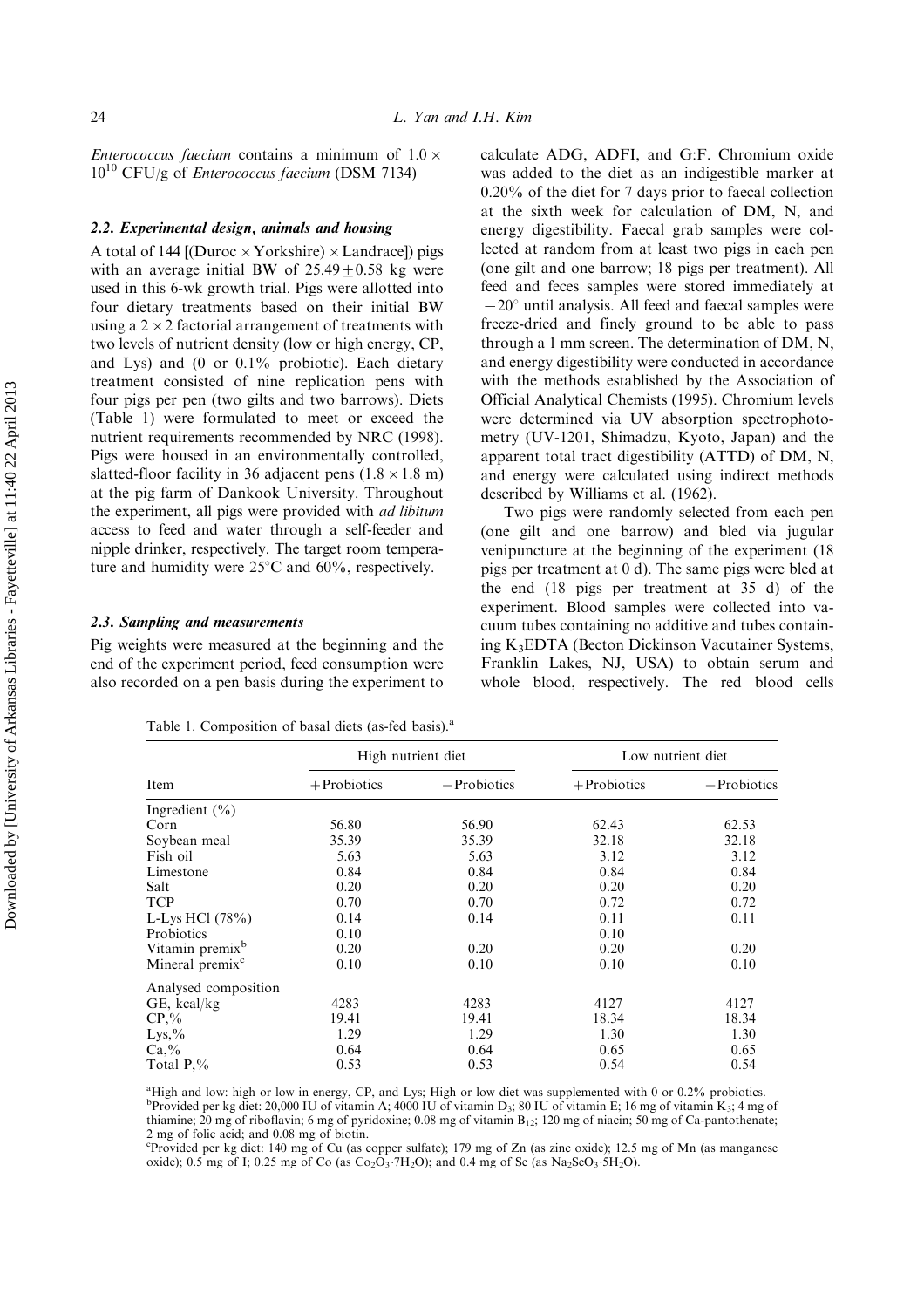*Enterococcus faecium* contains a minimum of  $1.0 \times$ 1010 CFU/g of Enterococcus faecium (DSM 7134)

### 2.2. Experimental design, animals and housing

A total of 144 [(Duroc  $\times$  Yorkshire)  $\times$  Landrace]) pigs with an average initial BW of  $25.49 + 0.58$  kg were used in this 6-wk growth trial. Pigs were allotted into four dietary treatments based on their initial BW using a  $2 \times 2$  factorial arrangement of treatments with two levels of nutrient density (low or high energy, CP, and Lys) and  $(0$  or  $0.1\%$  probiotic). Each dietary treatment consisted of nine replication pens with four pigs per pen (two gilts and two barrows). Diets (Table 1) were formulated to meet or exceed the nutrient requirements recommended by NRC (1998). Pigs were housed in an environmentally controlled, slatted-floor facility in 36 adjacent pens  $(1.8 \times 1.8 \text{ m})$ at the pig farm of Dankook University. Throughout the experiment, all pigs were provided with *ad libitum* access to feed and water through a self-feeder and nipple drinker, respectively. The target room temperature and humidity were  $25^{\circ}$ C and  $60\%$ , respectively.

#### 2.3. Sampling and measurements

Pig weights were measured at the beginning and the end of the experiment period, feed consumption were also recorded on a pen basis during the experiment to

calculate ADG, ADFI, and G:F. Chromium oxide was added to the diet as an indigestible marker at 0.20% of the diet for 7 days prior to faecal collection at the sixth week for calculation of DM, N, and energy digestibility. Faecal grab samples were collected at random from at least two pigs in each pen (one gilt and one barrow; 18 pigs per treatment). All feed and feces samples were stored immediately at  $-20^{\circ}$  until analysis. All feed and faecal samples were freeze-dried and finely ground to be able to pass through a 1 mm screen. The determination of DM, N, and energy digestibility were conducted in accordance with the methods established by the Association of Official Analytical Chemists (1995). Chromium levels were determined via UV absorption spectrophotometry (UV-1201, Shimadzu, Kyoto, Japan) and the apparent total tract digestibility (ATTD) of DM, N, and energy were calculated using indirect methods described by Williams et al. (1962).

Two pigs were randomly selected from each pen (one gilt and one barrow) and bled via jugular venipuncture at the beginning of the experiment (18 pigs per treatment at  $(0, d)$ . The same pigs were bled at the end (18 pigs per treatment at 35 d) of the experiment. Blood samples were collected into vacuum tubes containing no additive and tubes containing K3EDTA (Becton Dickinson Vacutainer Systems, Franklin Lakes, NJ, USA) to obtain serum and whole blood, respectively. The red blood cells

|                             | High nutrient diet |                | Low nutrient diet |                |  |
|-----------------------------|--------------------|----------------|-------------------|----------------|--|
| Item                        | $+$ Probiotics     | $-$ Probiotics | $+$ Probiotics    | $-$ Probiotics |  |
| Ingredient $(\% )$          |                    |                |                   |                |  |
| Corn                        | 56.80              | 56.90          | 62.43             | 62.53          |  |
| Soybean meal                | 35.39              | 35.39          | 32.18             | 32.18          |  |
| Fish oil                    | 5.63               | 5.63           | 3.12              | 3.12           |  |
| Limestone                   | 0.84               | 0.84           | 0.84              | 0.84           |  |
| Salt                        | 0.20               | 0.20           | 0.20              | 0.20           |  |
| <b>TCP</b>                  | 0.70               | 0.70           | 0.72              | 0.72           |  |
| L-Lys HCl $(78%)$           | 0.14               | 0.14           | 0.11              | 0.11           |  |
| Probiotics                  | 0.10               |                | 0.10              |                |  |
| Vitamin premix <sup>b</sup> | 0.20               | 0.20           | 0.20              | 0.20           |  |
| Mineral premix <sup>c</sup> | 0.10               | 0.10           | 0.10              | 0.10           |  |
| Analysed composition        |                    |                |                   |                |  |
| GE, kcal/kg                 | 4283               | 4283           | 4127              | 4127           |  |
| $CP, \%$                    | 19.41              | 19.41          | 18.34             | 18.34          |  |
| $Lys, \%$                   | 1.29               | 1.29           | 1.30              | 1.30           |  |
| $Ca, \%$                    | 0.64               | 0.64           | 0.65              | 0.65           |  |
| Total $P_{\cdot}\%$         | 0.53               | 0.53           | 0.54              | 0.54           |  |

Table 1. Composition of basal diets (as-fed basis).<sup>a</sup>

<sup>a</sup>High and low: high or low in energy, CP, and Lys; High or low diet was supplemented with 0 or 0.2% probiotics.<br><sup>b</sup>Provided per kg diet: 20,000 IU of vitamin A; 4000 IU of vitamin D<sub>3</sub>; 80 IU of vitamin E; 16 mg of vita thiamine; 20 mg of riboflavin; 6 mg of pyridoxine; 0.08 mg of vitamin  $B_{12}$ ; 120 mg of niacin; 50 mg of Ca-pantothenate; 2 mg of folic acid; and 0.08 mg of biotin.

c Provided per kg diet: 140mg of Cu (as copper sulfate); 179 mg of Zn (as zinc oxide); 12.5 mg of Mn (as manganese oxide); 0.5 mg of I; 0.25 mg of Co (as  $Co<sub>2</sub>O<sub>3</sub>·7H<sub>2</sub>O$ ); and 0.4 mg of Se (as Na<sub>2</sub>SeO<sub>3</sub>·5H<sub>2</sub>O).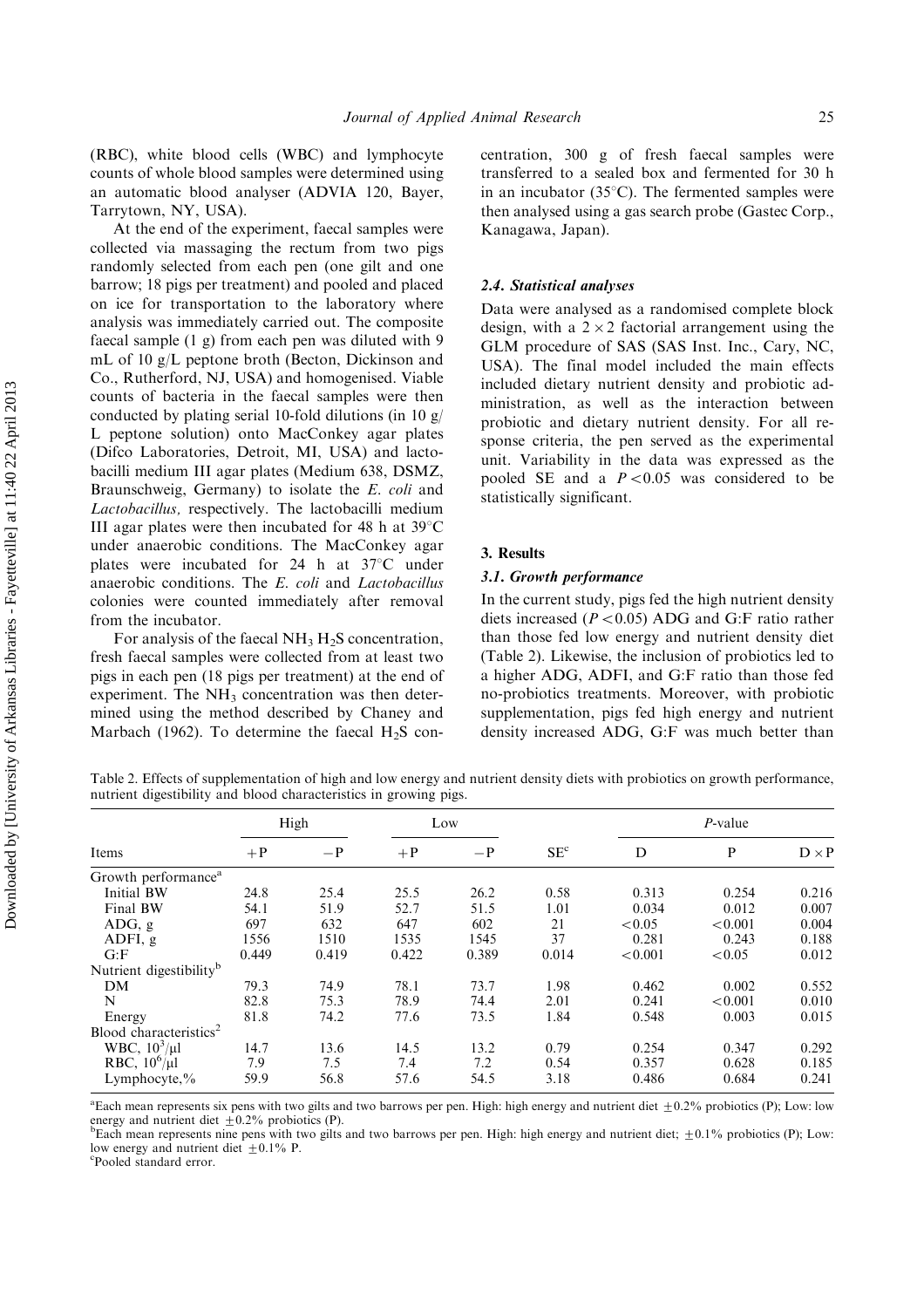(RBC), white blood cells (WBC) and lymphocyte counts of whole blood samples were determined using an automatic blood analyser (ADVIA 120, Bayer, Tarrytown, NY, USA).

At the end of the experiment, faecal samples were collected via massaging the rectum from two pigs randomly selected from each pen (one gilt and one barrow; 18 pigs per treatment) and pooled and placed on ice for transportation to the laboratory where analysis was immediately carried out. The composite faecal sample (1 g) from each pen was diluted with 9 mL of 10g/L peptone broth (Becton, Dickinson and Co., Rutherford, NJ, USA) and homogenised. Viable counts of bacteria in the faecal samples were then conducted by plating serial 10-fold dilutions (in 10 g/ L peptone solution) onto MacConkey agar plates (Difco Laboratories, Detroit, MI, USA) and lactobacilli medium III agar plates (Medium 638, DSMZ, Braunschweig, Germany) to isolate the E. coli and Lactobacillus, respectively. The lactobacilli medium III agar plates were then incubated for 48 h at  $39^{\circ}$ C under anaerobic conditions. The MacConkey agar plates were incubated for 24 h at  $37^{\circ}$ C under anaerobic conditions. The E. coli and Lactobacillus colonies were counted immediately after removal from the incubator.

For analysis of the faecal  $NH<sub>3</sub> H<sub>2</sub>S$  concentration, fresh faecal samples were collected from at least two pigs in each pen (18 pigs per treatment) at the end of experiment. The  $NH<sub>3</sub>$  concentration was then determined using the method described by Chaney and Marbach (1962). To determine the faecal  $H_2S$  concentration, 300 g of fresh faecal samples were transferred to a sealed box and fermented for 30 h in an incubator (35 $^{\circ}$ C). The fermented samples were then analysed using a gas search probe (Gastec Corp., Kanagawa, Japan).

#### 2.4. Statistical analyses

Data were analysed as a randomised complete block design, with a  $2 \times 2$  factorial arrangement using the GLM procedure of SAS (SAS Inst. Inc., Cary, NC, USA). The final model included the main effects included dietary nutrient density and probiotic administration, as well as the interaction between probiotic and dietary nutrient density. For all response criteria, the pen served as the experimental unit. Variability in the data was expressed as the pooled SE and a  $P < 0.05$  was considered to be statistically significant.

#### 3. Results

#### 3.1. Growth performance

In the current study, pigs fed the high nutrient density diets increased ( $P < 0.05$ ) ADG and G:F ratio rather than those fed low energy and nutrient density diet (Table 2). Likewise, the inclusion of probiotics led to a higher ADG, ADFI, and G:F ratio than those fed no-probiotics treatments. Moreover, with probiotic supplementation, pigs fed high energy and nutrient density increased ADG, G:F was much better than

Table 2. Effects of supplementation of high and low energy and nutrient density diets with probiotics on growth performance, nutrient digestibility and blood characteristics in growing pigs.

| Items                               |       | High  |       | Low   |                 | $P$ -value |         |              |
|-------------------------------------|-------|-------|-------|-------|-----------------|------------|---------|--------------|
|                                     | $+P$  | $-P$  | $+P$  | $-P$  | SE <sup>c</sup> | D          | P       | $D \times P$ |
| Growth performance <sup>a</sup>     |       |       |       |       |                 |            |         |              |
| Initial BW                          | 24.8  | 25.4  | 25.5  | 26.2  | 0.58            | 0.313      | 0.254   | 0.216        |
| Final BW                            | 54.1  | 51.9  | 52.7  | 51.5  | 1.01            | 0.034      | 0.012   | 0.007        |
| ADG, g                              | 697   | 632   | 647   | 602   | 21              | < 0.05     | < 0.001 | 0.004        |
| ADFI, $g$                           | 1556  | 1510  | 1535  | 1545  | 37              | 0.281      | 0.243   | 0.188        |
| G: F                                | 0.449 | 0.419 | 0.422 | 0.389 | 0.014           | < 0.001    | < 0.05  | 0.012        |
| Nutrient digestibility <sup>b</sup> |       |       |       |       |                 |            |         |              |
| DM                                  | 79.3  | 74.9  | 78.1  | 73.7  | 1.98            | 0.462      | 0.002   | 0.552        |
| N                                   | 82.8  | 75.3  | 78.9  | 74.4  | 2.01            | 0.241      | < 0.001 | 0.010        |
| Energy                              | 81.8  | 74.2  | 77.6  | 73.5  | 1.84            | 0.548      | 0.003   | 0.015        |
| Blood characteristics <sup>2</sup>  |       |       |       |       |                 |            |         |              |
| WBC, $10^3/\mu$ l                   | 14.7  | 13.6  | 14.5  | 13.2  | 0.79            | 0.254      | 0.347   | 0.292        |
| RBC, $10^6/\mu l$                   | 7.9   | 7.5   | 7.4   | 7.2   | 0.54            | 0.357      | 0.628   | 0.185        |
| Lymphocyte, $\%$                    | 59.9  | 56.8  | 57.6  | 54.5  | 3.18            | 0.486      | 0.684   | 0.241        |

<sup>a</sup> Each mean represents six pens with two gilts and two barrows per pen. High: high energy and nutrient diet  $\pm 0.2\%$  probiotics (P); Low: low energy and nutrient diet  $\pm 0.2\%$  probiotics (P).

<sup>b</sup>Each mean represents nine pens with two gilts and two barrows per pen. High: high energy and nutrient diet;  $\pm 0.1\%$  probiotics (P); Low: low energy and nutrient diet  $+0.1\%$  P.

Pooled standard error.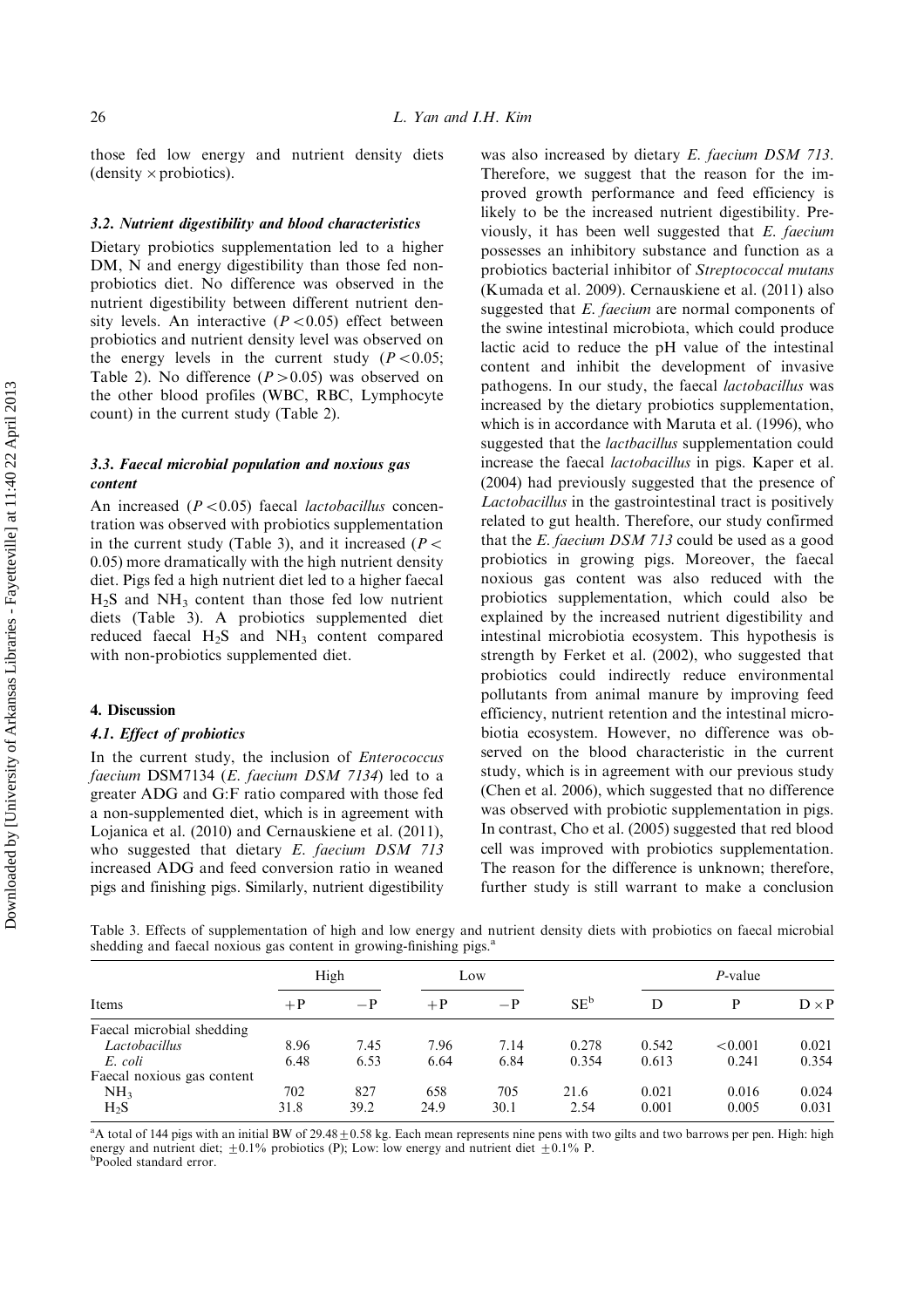those fed low energy and nutrient density diets (density  $\times$  probiotics).

#### 3.2. Nutrient digestibility and blood characteristics

Dietary probiotics supplementation led to a higher DM, N and energy digestibility than those fed nonprobiotics diet. No difference was observed in the nutrient digestibility between different nutrient density levels. An interactive  $(P<0.05)$  effect between probiotics and nutrient density level was observed on the energy levels in the current study ( $P < 0.05$ ; Table 2). No difference  $(P>0.05)$  was observed on the other blood profiles (WBC, RBC, Lymphocyte count) in the current study (Table 2).

### 3.3. Faecal microbial population and noxious gas content

An increased  $(P<0.05)$  faecal *lactobacillus* concentration was observed with probiotics supplementation in the current study (Table 3), and it increased ( $P \leq$ 0.05) more dramatically with the high nutrient density diet. Pigs fed a high nutrient diet led to a higher faecal  $H<sub>2</sub>S$  and  $NH<sub>3</sub>$  content than those fed low nutrient diets (Table 3). A probiotics supplemented diet reduced faecal  $H_2S$  and  $NH_3$  content compared with non-probiotics supplemented diet.

#### 4. Discussion

#### 4.1. Effect of probiotics

In the current study, the inclusion of Enterococcus faecium DSM7134 (E. faecium DSM 7134) led to a greater ADG and G:F ratio compared with those fed a non-supplemented diet, which is in agreement with Lojanica et al. (2010) and Cernauskiene et al. (2011), who suggested that dietary E. faecium DSM 713 increased ADG and feed conversion ratio in weaned pigs and finishing pigs. Similarly, nutrient digestibility was also increased by dietary E. faecium DSM 713. Therefore, we suggest that the reason for the improved growth performance and feed efficiency is likely to be the increased nutrient digestibility. Previously, it has been well suggested that E. faecium possesses an inhibitory substance and function as a probiotics bacterial inhibitor of Streptococcal mutans (Kumada et al. 2009). Cernauskiene et al. (2011) also suggested that E. faecium are normal components of the swine intestinal microbiota, which could produce lactic acid to reduce the pH value of the intestinal content and inhibit the development of invasive pathogens. In our study, the faecal lactobacillus was increased by the dietary probiotics supplementation, which is in accordance with Maruta et al. (1996), who suggested that the *lactbacillus* supplementation could increase the faecal lactobacillus in pigs. Kaper et al. (2004) had previously suggested that the presence of Lactobacillus in the gastrointestinal tract is positively related to gut health. Therefore, our study confirmed that the E. faecium DSM 713 could be used as a good probiotics in growing pigs. Moreover, the faecal noxious gas content was also reduced with the probiotics supplementation, which could also be explained by the increased nutrient digestibility and intestinal microbiotia ecosystem. This hypothesis is strength by Ferket et al. (2002), who suggested that probiotics could indirectly reduce environmental pollutants from animal manure by improving feed efficiency, nutrient retention and the intestinal microbiotia ecosystem. However, no difference was observed on the blood characteristic in the current study, which is in agreement with our previous study (Chen et al. 2006), which suggested that no difference was observed with probiotic supplementation in pigs. In contrast, Cho et al. (2005) suggested that red blood cell was improved with probiotics supplementation. The reason for the difference is unknown; therefore, further study is still warrant to make a conclusion

Table 3. Effects of supplementation of high and low energy and nutrient density diets with probiotics on faecal microbial shedding and faecal noxious gas content in growing-finishing pigs.<sup>a</sup>

| Items                      | High |      | Low  |      |        | <i>P</i> -value |         |              |
|----------------------------|------|------|------|------|--------|-----------------|---------|--------------|
|                            | $+P$ | $-P$ | $+P$ | $-P$ | $SE^b$ | D               | D       | $D \times P$ |
| Faecal microbial shedding  |      |      |      |      |        |                 |         |              |
| Lactobacillus              | 8.96 | 7.45 | 7.96 | 7.14 | 0.278  | 0.542           | < 0.001 | 0.021        |
| E. coli                    | 6.48 | 6.53 | 6.64 | 6.84 | 0.354  | 0.613           | 0.241   | 0.354        |
| Faecal noxious gas content |      |      |      |      |        |                 |         |              |
| NH <sub>3</sub>            | 702  | 827  | 658  | 705  | 21.6   | 0.021           | 0.016   | 0.024        |
| $H_2S$                     | 31.8 | 39.2 | 24.9 | 30.1 | 2.54   | 0.001           | 0.005   | 0.031        |

 $a<sup>a</sup>A$  total of 144 pigs with an initial BW of 29.48 $\pm$ 0.58 kg. Each mean represents nine pens with two gilts and two barrows per pen. High: high energy and nutrient diet;  $\pm 0.1\%$  probiotics (P); Low: low energy and nutrient diet  $\pm 0.1\%$  P. Pooled standard error.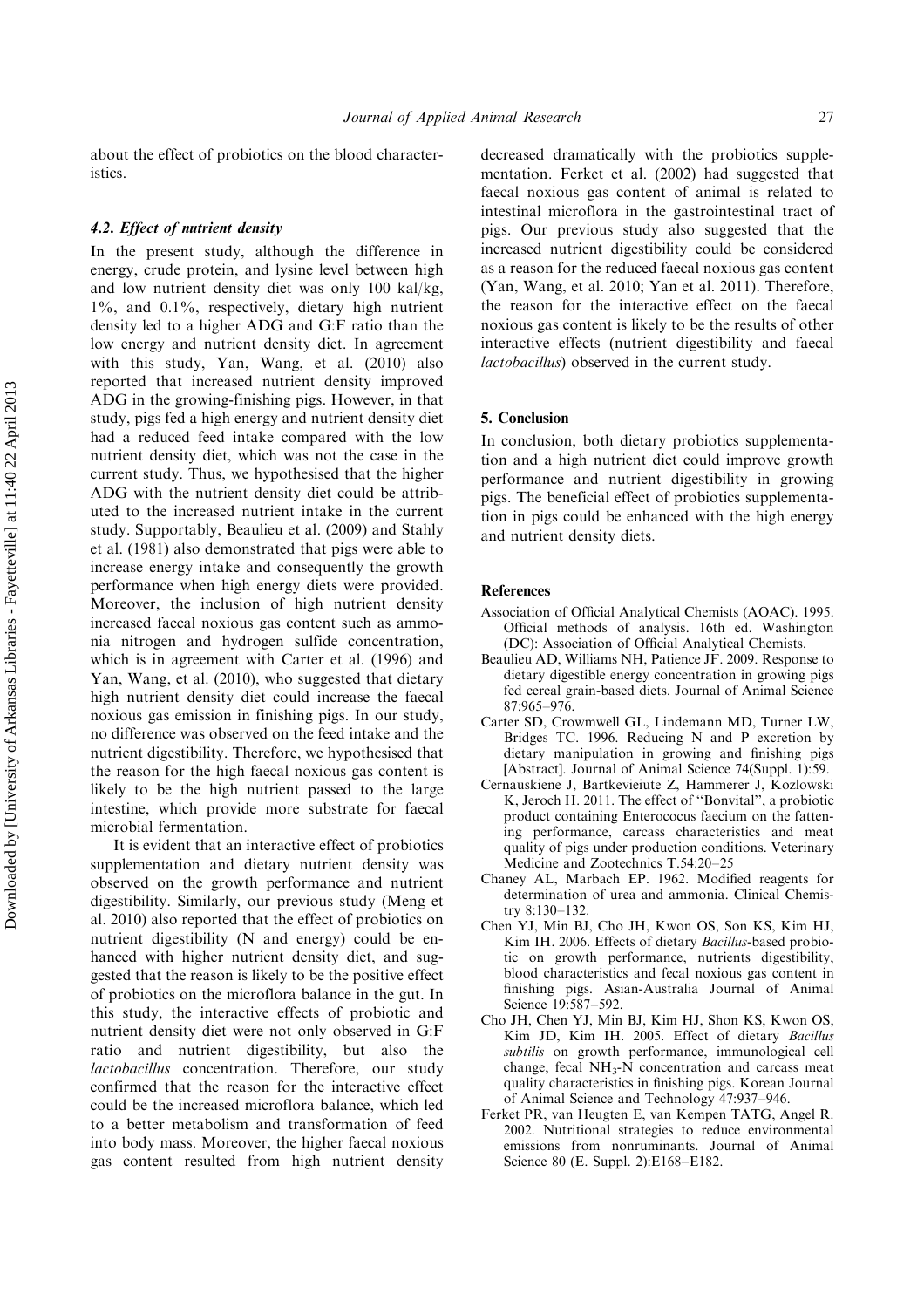about the effect of probiotics on the blood characteristics.

#### 4.2. Effect of nutrient density

In the present study, although the difference in energy, crude protein, and lysine level between high and low nutrient density diet was only 100 kal/kg, 1%, and 0.1%, respectively, dietary high nutrient density led to a higher ADG and G:F ratio than the low energy and nutrient density diet. In agreement with this study, Yan, Wang, et al. (2010) also reported that increased nutrient density improved ADG in the growing-finishing pigs. However, in that study, pigs fed a high energy and nutrient density diet had a reduced feed intake compared with the low nutrient density diet, which was not the case in the current study. Thus, we hypothesised that the higher ADG with the nutrient density diet could be attributed to the increased nutrient intake in the current study. Supportably, Beaulieu et al. (2009) and Stahly et al. (1981) also demonstrated that pigs were able to increase energy intake and consequently the growth performance when high energy diets were provided. Moreover, the inclusion of high nutrient density increased faecal noxious gas content such as ammonia nitrogen and hydrogen sulfide concentration, which is in agreement with Carter et al. (1996) and Yan, Wang, et al. (2010), who suggested that dietary high nutrient density diet could increase the faecal noxious gas emission in finishing pigs. In our study, no difference was observed on the feed intake and the nutrient digestibility. Therefore, we hypothesised that the reason for the high faecal noxious gas content is likely to be the high nutrient passed to the large intestine, which provide more substrate for faecal microbial fermentation.

It is evident that an interactive effect of probiotics supplementation and dietary nutrient density was observed on the growth performance and nutrient digestibility. Similarly, our previous study (Meng et al. 2010) also reported that the effect of probiotics on nutrient digestibility (N and energy) could be enhanced with higher nutrient density diet, and suggested that the reason is likely to be the positive effect of probiotics on the microflora balance in the gut. In this study, the interactive effects of probiotic and nutrient density diet were not only observed in G:F ratio and nutrient digestibility, but also the lactobacillus concentration. Therefore, our study confirmed that the reason for the interactive effect could be the increased microflora balance, which led to a better metabolism and transformation of feed into body mass. Moreover, the higher faecal noxious gas content resulted from high nutrient density decreased dramatically with the probiotics supplementation. Ferket et al. (2002) had suggested that faecal noxious gas content of animal is related to intestinal microflora in the gastrointestinal tract of pigs. Our previous study also suggested that the increased nutrient digestibility could be considered as a reason for the reduced faecal noxious gas content (Yan, Wang, et al. 2010; Yan et al. 2011). Therefore, the reason for the interactive effect on the faecal noxious gas content is likely to be the results of other interactive effects (nutrient digestibility and faecal lactobacillus) observed in the current study.

#### 5. Conclusion

In conclusion, both dietary probiotics supplementation and a high nutrient diet could improve growth performance and nutrient digestibility in growing pigs. The beneficial effect of probiotics supplementation in pigs could be enhanced with the high energy and nutrient density diets.

#### References

- Association of Official Analytical Chemists (AOAC). 1995. Official methods of analysis. 16th ed. Washington (DC): Association of Official Analytical Chemists.
- Beaulieu AD, Williams NH, Patience JF. 2009. Response to dietary digestible energy concentration in growing pigs fed cereal grain-based diets. Journal of Animal Science 87:965-976.
- Carter SD, Crowmwell GL, Lindemann MD, Turner LW, Bridges TC. 1996. Reducing N and P excretion by dietary manipulation in growing and finishing pigs [Abstract]. Journal of Animal Science 74(Suppl. 1):59.
- Cernauskiene J, Bartkevieiute Z, Hammerer J, Kozlowski K, Jeroch H. 2011. The effect of ''Bonvital'', a probiotic product containing Enterococus faecium on the fattening performance, carcass characteristics and meat quality of pigs under production conditions. Veterinary Medicine and Zootechnics T.54:20-25
- Chaney AL, Marbach EP. 1962. Modified reagents for determination of urea and ammonia. Clinical Chemistry 8:130-132.
- Chen YJ, Min BJ, Cho JH, Kwon OS, Son KS, Kim HJ, Kim IH. 2006. Effects of dietary Bacillus-based probiotic on growth performance, nutrients digestibility, blood characteristics and fecal noxious gas content in finishing pigs. Asian-Australia Journal of Animal Science 19:587-592.
- Cho JH, Chen YJ, Min BJ, Kim HJ, Shon KS, Kwon OS, Kim JD, Kim IH. 2005. Effect of dietary Bacillus subtilis on growth performance, immunological cell change, fecal  $NH<sub>3</sub>-N$  concentration and carcass meat quality characteristics in finishing pigs. Korean Journal of Animal Science and Technology 47:937-946.
- Ferket PR, van Heugten E, van Kempen TATG, Angel R. 2002. Nutritional strategies to reduce environmental emissions from nonruminants. Journal of Animal Science 80(E. Suppl. 2):E168-E182.